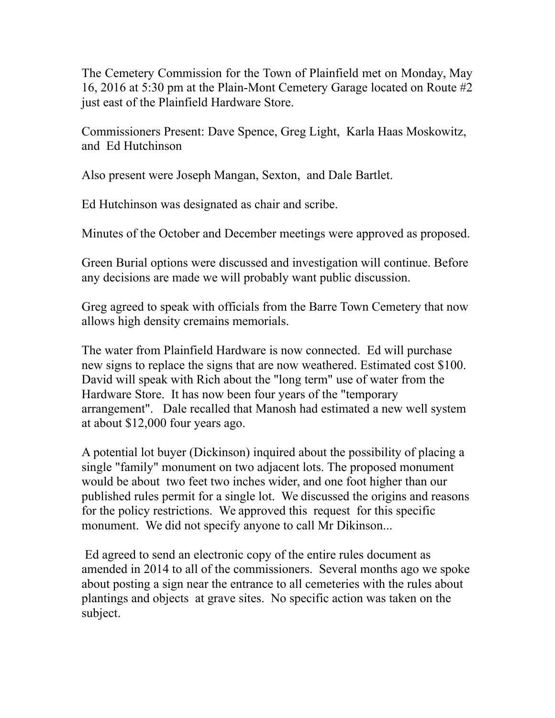The Cemetery Commission for the Town of Plainfield met on Monday, May 16, 2016 at 5:30 pm at the Plain-Mont Cemetery Garage located on Route #2 just east of the Plainfield Hardware Store.

Commissioners Present: Dave Spence, Greg Light, Karla Haas Moskowitz, and Ed Hutchinson

Also present were Joseph Mangan, Sexton, and Dale Bartlet.

Ed Hutchinson was designated as chair and scribe.

Minutes of the October and December meetings were approved as proposed.

Green Burial options were discussed and investigation will continue. Before any decisions are made we will probably want public discussion.

Greg agreed to speak with officials from the Barre Town Cemetery that now allows high density cremains memorials.

The water from Plainfield Hardware is now connected. Ed will purchase new signs to replace the signs that are now weathered. Estimated cost \$100. David will speak with Rich about the "long term" use of water from the Hardware Store. It has now been four years of the "temporary arrangement". Dale recalled that Manosh had estimated a new well system at about \$12,000 four years ago.

A potential lot buyer (Dickinson) inquired about the possibility of placing a single "family" monument on two adjacent lots. The proposed monument would be about two feet two inches wider, and one foot higher than our published rules permit for a single lot. We discussed the origins and reasons for the policy restrictions. We approved this request for this specific monument. We did not specify anyone to call Mr Dikinson...

 Ed agreed to send an electronic copy of the entire rules document as amended in 2014 to all of the commissioners. Several months ago we spoke about posting a sign near the entrance to all cemeteries with the rules about plantings and objects at grave sites. No specific action was taken on the subject.